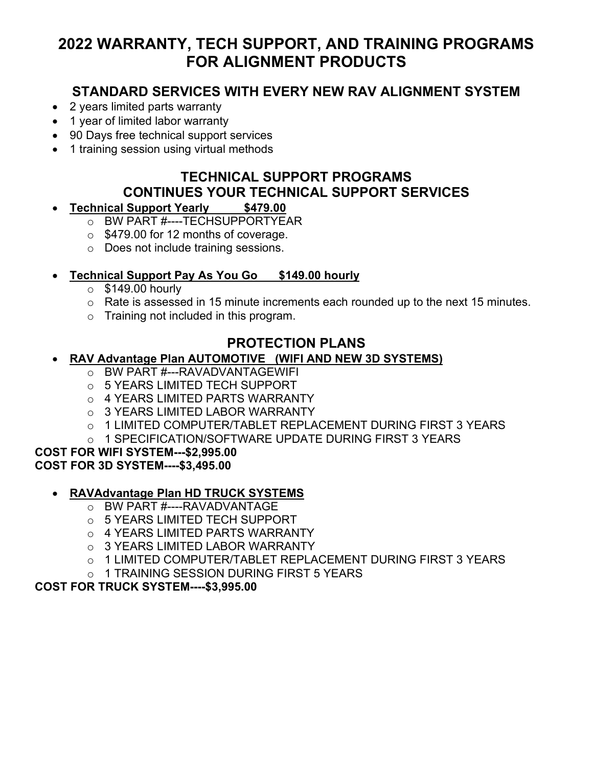# **2022 WARRANTY, TECH SUPPORT, AND TRAINING PROGRAMS FOR ALIGNMENT PRODUCTS**

## **STANDARD SERVICES WITH EVERY NEW RAV ALIGNMENT SYSTEM**

- 2 years limited parts warranty
- 1 year of limited labor warranty
- 90 Days free technical support services
- 1 training session using virtual methods

# **TECHNICAL SUPPORT PROGRAMS CONTINUES YOUR TECHNICAL SUPPORT SERVICES**

#### • **Technical Support Yearly \$479.00**

- o BW PART #----TECHSUPPORTYEAR
- o \$479.00 for 12 months of coverage.
- o Does not include training sessions.

#### • **Technical Support Pay As You Go \$149.00 hourly**

- $\circ$  \$149.00 hourly
- $\circ$  Rate is assessed in 15 minute increments each rounded up to the next 15 minutes.
- o Training not included in this program.

### **PROTECTION PLANS**

#### • **RAV Advantage Plan AUTOMOTIVE (WIFI AND NEW 3D SYSTEMS)**

- o BW PART #---RAVADVANTAGEWIFI
- o 5 YEARS LIMITED TECH SUPPORT
- o 4 YEARS LIMITED PARTS WARRANTY
- o 3 YEARS LIMITED LABOR WARRANTY
- o 1 LIMITED COMPUTER/TABLET REPLACEMENT DURING FIRST 3 YEARS
- o 1 SPECIFICATION/SOFTWARE UPDATE DURING FIRST 3 YEARS

## **COST FOR WIFI SYSTEM---\$2,995.00**

#### **COST FOR 3D SYSTEM----\$3,495.00**

#### • **RAVAdvantage Plan HD TRUCK SYSTEMS**

- o BW PART #----RAVADVANTAGE
- o 5 YEARS LIMITED TECH SUPPORT
- o 4 YEARS LIMITED PARTS WARRANTY
- o 3 YEARS LIMITED LABOR WARRANTY
- o 1 LIMITED COMPUTER/TABLET REPLACEMENT DURING FIRST 3 YEARS
- o 1 TRAINING SESSION DURING FIRST 5 YEARS

#### **COST FOR TRUCK SYSTEM----\$3,995.00**